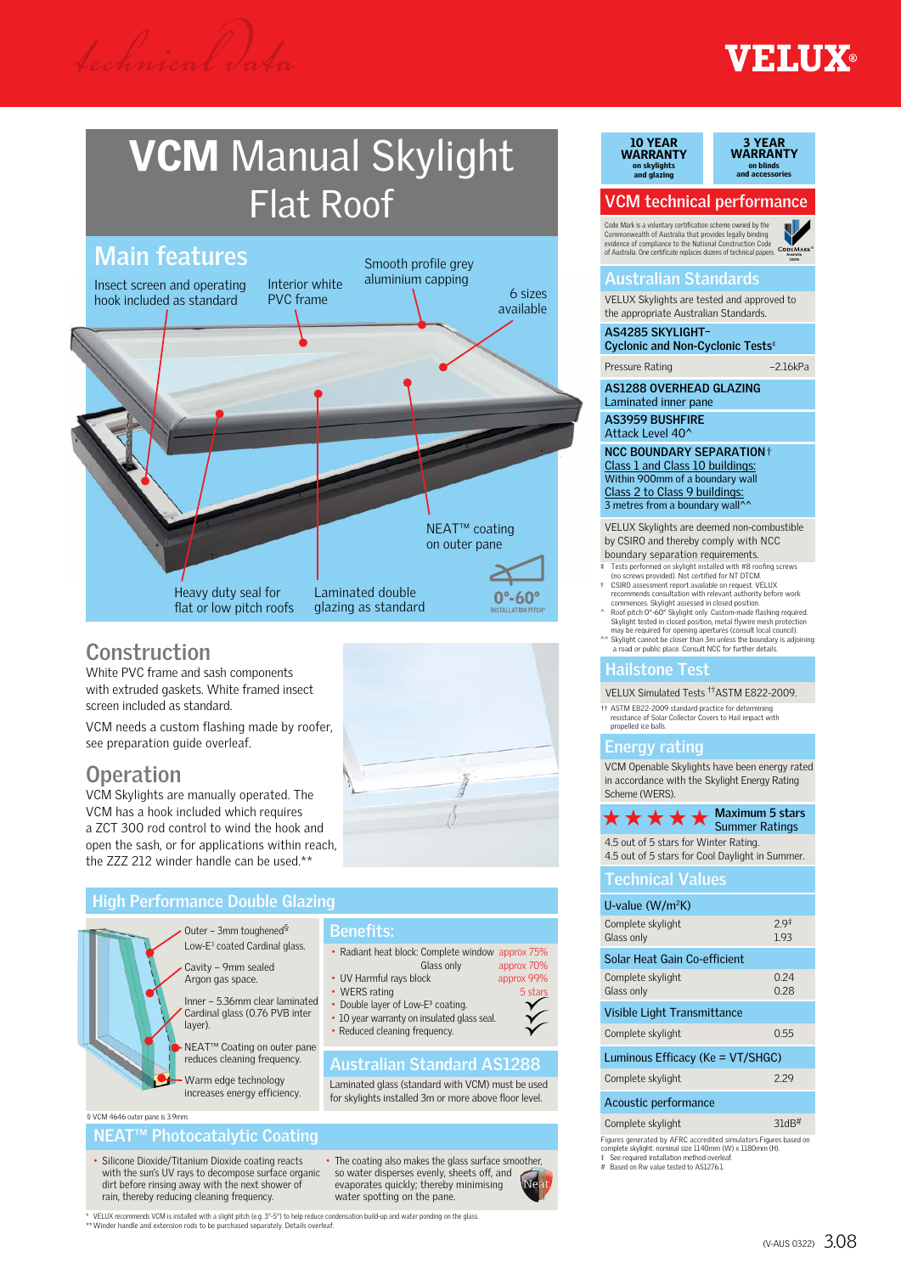## **EXAMPLE**

# **VCM** Manual Skylight Flat Roof



### **Construction**

White PVC frame and sash components with extruded gaskets. White framed insect screen included as standard.

VCM needs a custom flashing made by roofer, see preparation quide overleaf.

## **Operation**

VCM Skylights are manually operated. The VCM has a hook included which requires a ZCT 300 rod control to wind the hook and open the sash, or for applications within reach, the ZZZ 212 winder handle can be used.\*\*



approx 70%

#### **High Performance Double Glazing Australian Standard AS1288** Outer – 3mm toughened§ Low-E3 coated Cardinal glass. Cavity – 9mm sealed Argon gas space. Inner – 5.36mm clear laminated Cardinal glass (0.76 PVB inter layer). NEAT™ Coating on outer pane reduces cleaning frequency. Warm edge technology increases energy efficiency. **Benefits:** • Radiant heat block: Complete window approx 75%<br>
Glass only approx 70% • UV Harmful rays block approx 99% • WERS rating 5 stars • Double layer of Low-E<sup>3</sup> coating. • 10 year warranty on insulated glass seal • Reduced cleaning frequency. Laminated glass (standard with VCM) must be used

for skylights installed 3m or more above floor level.

## • Silicone Dioxide/Titanium Dioxide coating reacts

§ VCM 4646 outer pane is 3.9mm.

with the sun's UV rays to decompose surface organic dirt before rinsing away with the next shower of rain, thereby reducing cleaning frequency.

**NEAT™ Photocatalytic Coating**

• The coating also makes the glass surface smoother, so water disperses evenly, sheets off, and evaporates quickly; thereby minimising water spotting on the pane

10 YEAR WARRANTY 10 YEAR WARRANTY on skylights and glazing on skylights, flashings and glazing

3 YEAR WARRANTY 3 YEAR WARRANTY ı blinds 1d accessories on blinds and accessories

## **VCM technical performance**

Code Mark is a voluntary certification scheme owned by the Commonwealth of Australia that provides legally binding



#### **Australian Standards**

VELUX Skylights are tested and approved to the appropriate Australian Standards.

**AS4285 SKYLIGHT– Cyclonic and Non-Cyclonic Tests**

Pressure Rating –2.16kPa

**AS1288 OVERHEAD GLAZING** Laminated inner pane

**AS3959 BUSHFIRE** Attack Level 40<sup>^</sup>

**NCC BOUNDARY SEPARATION**† Class 1 and Class 10 buildings: Within 900mm of a boundary wall Class 2 to Class 9 buildings:<br>3 metres from a boundary wall^^

VELUX Skylights are deemed non-combustible by CSIRO and thereby comply with NCC boundary separation requirements.

- Tests performed on skylight installed with #8 roofing screws (no screws provided). Not certified for NT DTCM.
- † CSIRO assessment report available on request. VELUX<br>recommends consultation with relevant authority before work<br>commences. Skylight assessed in closed position.<br>^ Roof pitch 0\*-60\* Skylight only. Custom-made flashing req
- may be required for opening apertures (consult local council). ^^ Skylight cannot be closer than 3m unless the boundary is adjoining
- an *agreement be closer* than an unless the boundart a road or public place. Consult NCC for further details.

### **Hailstone Test**

VELUX Simulated Tests ††ASTM E822-2009.

†† ASTM E822-2009 standard practice for determining resistance of Solar Collector Covers to Hail impact with propelled ice balls.

#### **Energy rating**

VCM Openable Skylights have been energy rated in accordance with the Skylight Energy Rating Scheme (WERS).

#### **Maximum 5 stars**  $\star \star \star \star \star$  Maximum 5 stai 4.5 out of 5 stars for Winter Rating.

4.5 out of 5 stars for Cool Daylight in Summer.

| TCUITHUAI VAIUCS   |                 |
|--------------------|-----------------|
| U-value $(W/m^2K)$ |                 |
| Complete skylight  | 29 <sup>†</sup> |

**Technical Values** 

| Glass only                       | 193          |  |
|----------------------------------|--------------|--|
| Solar Heat Gain Co-efficient     |              |  |
| Complete skylight<br>Glass only  | 0.24<br>0.28 |  |
| Visible Light Transmittance      |              |  |
| Complete skylight                | 0.55         |  |
| Luminous Efficacy (Ke = VT/SHGC) |              |  |
| Complete skylight                | 229          |  |
| Acoustic performance             |              |  |
| Complete skylight                | 31dB         |  |

Figures generated by AFRC accredited simulators.Figures based on complete skylight: nominal size 1140mm (W) x 1180mm (H). ‡ See required installation method overleaf. # Based on Rw value tested to AS1276.1.